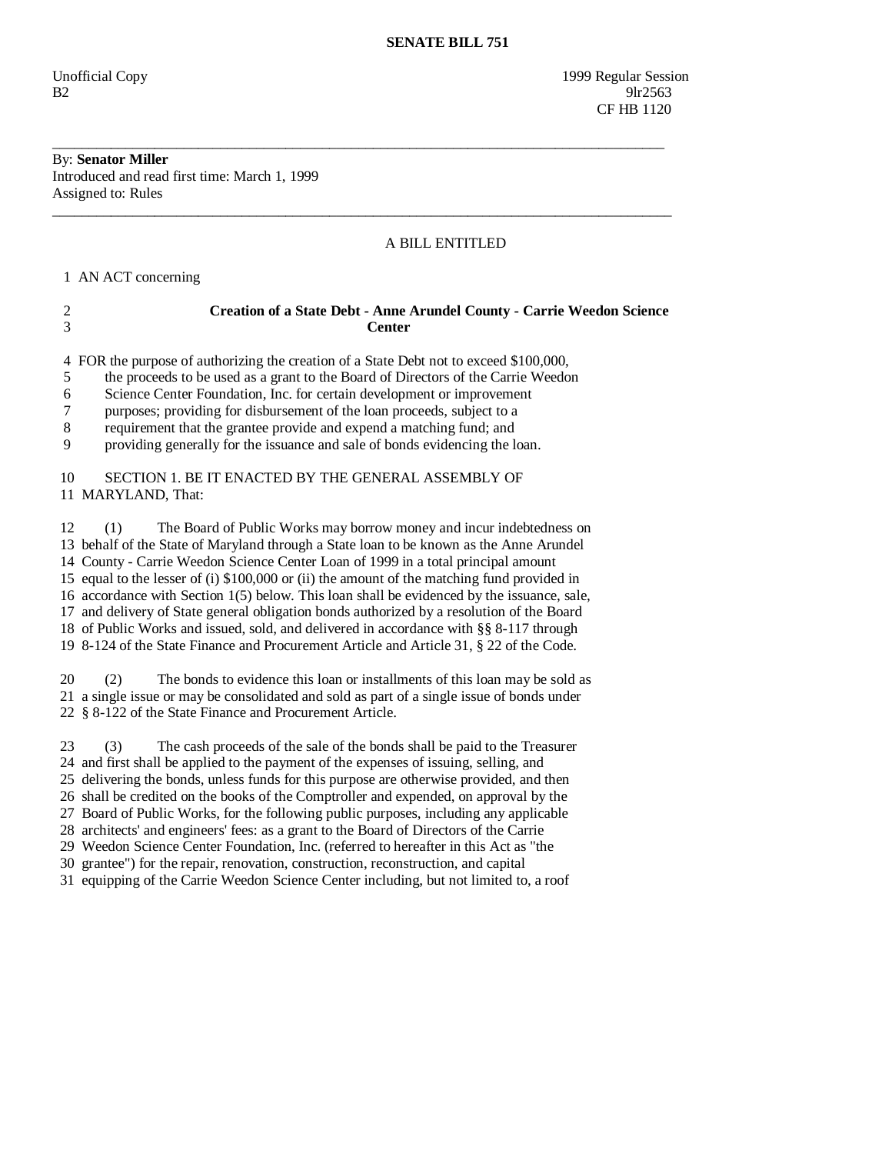Unofficial Copy 1999 Regular Session  $B2$  9lr2563 CF HB 1120

### By: **Senator Miller**  Introduced and read first time: March 1, 1999 Assigned to: Rules

## A BILL ENTITLED

1 AN ACT concerning

# 2 **Creation of a State Debt - Anne Arundel County - Carrie Weedon Science**  3 **Center**

\_\_\_\_\_\_\_\_\_\_\_\_\_\_\_\_\_\_\_\_\_\_\_\_\_\_\_\_\_\_\_\_\_\_\_\_\_\_\_\_\_\_\_\_\_\_\_\_\_\_\_\_\_\_\_\_\_\_\_\_\_\_\_\_\_\_\_\_\_\_\_\_\_\_\_\_\_\_\_\_\_\_\_\_

\_\_\_\_\_\_\_\_\_\_\_\_\_\_\_\_\_\_\_\_\_\_\_\_\_\_\_\_\_\_\_\_\_\_\_\_\_\_\_\_\_\_\_\_\_\_\_\_\_\_\_\_\_\_\_\_\_\_\_\_\_\_\_\_\_\_\_\_\_\_\_\_\_\_\_\_\_\_\_\_\_\_\_\_\_

4 FOR the purpose of authorizing the creation of a State Debt not to exceed \$100,000,

5 the proceeds to be used as a grant to the Board of Directors of the Carrie Weedon

6 Science Center Foundation, Inc. for certain development or improvement

7 purposes; providing for disbursement of the loan proceeds, subject to a

8 requirement that the grantee provide and expend a matching fund; and

9 providing generally for the issuance and sale of bonds evidencing the loan.

## 10 SECTION 1. BE IT ENACTED BY THE GENERAL ASSEMBLY OF 11 MARYLAND, That:

 12 (1) The Board of Public Works may borrow money and incur indebtedness on 13 behalf of the State of Maryland through a State loan to be known as the Anne Arundel 14 County - Carrie Weedon Science Center Loan of 1999 in a total principal amount 15 equal to the lesser of (i) \$100,000 or (ii) the amount of the matching fund provided in 16 accordance with Section 1(5) below. This loan shall be evidenced by the issuance, sale, 17 and delivery of State general obligation bonds authorized by a resolution of the Board 18 of Public Works and issued, sold, and delivered in accordance with §§ 8-117 through 19 8-124 of the State Finance and Procurement Article and Article 31, § 22 of the Code.

 20 (2) The bonds to evidence this loan or installments of this loan may be sold as 21 a single issue or may be consolidated and sold as part of a single issue of bonds under 22 § 8-122 of the State Finance and Procurement Article.

 23 (3) The cash proceeds of the sale of the bonds shall be paid to the Treasurer 24 and first shall be applied to the payment of the expenses of issuing, selling, and 25 delivering the bonds, unless funds for this purpose are otherwise provided, and then 26 shall be credited on the books of the Comptroller and expended, on approval by the 27 Board of Public Works, for the following public purposes, including any applicable 28 architects' and engineers' fees: as a grant to the Board of Directors of the Carrie 29 Weedon Science Center Foundation, Inc. (referred to hereafter in this Act as "the 30 grantee") for the repair, renovation, construction, reconstruction, and capital

31 equipping of the Carrie Weedon Science Center including, but not limited to, a roof